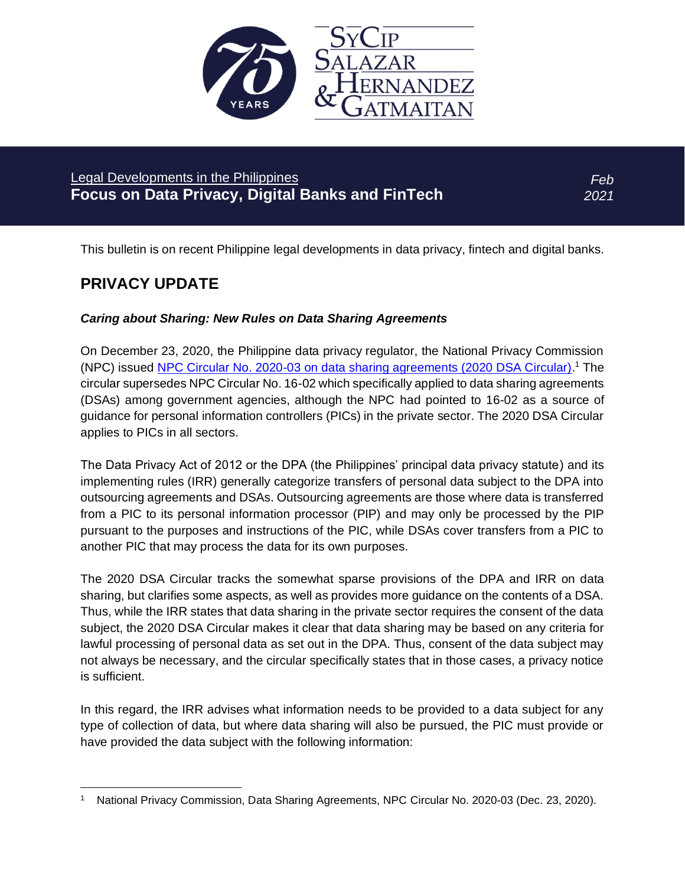

# Legal Developments in the Philippines **Focus on Data Privacy, Digital Banks and FinTech**

*Feb 2021*

This bulletin is on recent Philippine legal developments in data privacy, fintech and digital banks.

# **PRIVACY UPDATE**

## *Caring about Sharing: New Rules on Data Sharing Agreements*

On December 23, 2020, the Philippine data privacy regulator, the National Privacy Commission (NPC) issued [NPC Circular No. 2020-03 on data sharing agreements \(2020 DSA Circular\).](https://www.privacy.gov.ph/wp-content/uploads/2021/01/Circular-Data-Sharing-Agreement-amending-16-02-21-Dec-2020-clean-copy-FINAL-LYA-and-JDN-signed-minor-edit.pdf)<sup>1</sup> The circular supersedes NPC Circular No. 16-02 which specifically applied to data sharing agreements (DSAs) among government agencies, although the NPC had pointed to 16-02 as a source of guidance for personal information controllers (PICs) in the private sector. The 2020 DSA Circular applies to PICs in all sectors.

The Data Privacy Act of 2012 or the DPA (the Philippines' principal data privacy statute) and its implementing rules (IRR) generally categorize transfers of personal data subject to the DPA into outsourcing agreements and DSAs. Outsourcing agreements are those where data is transferred from a PIC to its personal information processor (PIP) and may only be processed by the PIP pursuant to the purposes and instructions of the PIC, while DSAs cover transfers from a PIC to another PIC that may process the data for its own purposes.

The 2020 DSA Circular tracks the somewhat sparse provisions of the DPA and IRR on data sharing, but clarifies some aspects, as well as provides more guidance on the contents of a DSA. Thus, while the IRR states that data sharing in the private sector requires the consent of the data subject, the 2020 DSA Circular makes it clear that data sharing may be based on any criteria for lawful processing of personal data as set out in the DPA. Thus, consent of the data subject may not always be necessary, and the circular specifically states that in those cases, a privacy notice is sufficient.

In this regard, the IRR advises what information needs to be provided to a data subject for any type of collection of data, but where data sharing will also be pursued, the PIC must provide or have provided the data subject with the following information:

<sup>1</sup> National Privacy Commission, Data Sharing Agreements, NPC Circular No. 2020-03 (Dec. 23, 2020).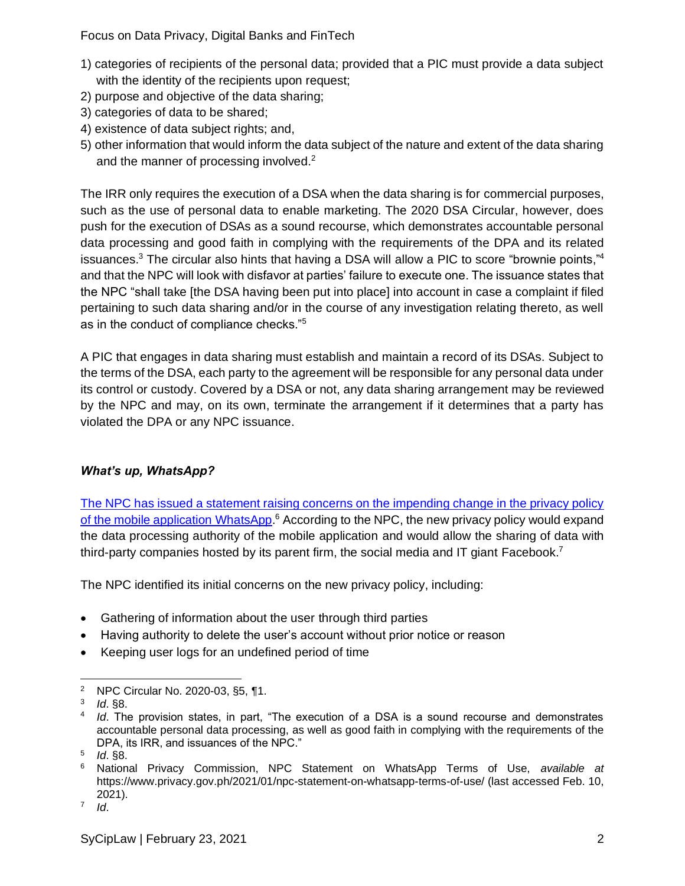- 1) categories of recipients of the personal data; provided that a PIC must provide a data subject with the identity of the recipients upon request;
- 2) purpose and objective of the data sharing;
- 3) categories of data to be shared;
- 4) existence of data subject rights; and,
- 5) other information that would inform the data subject of the nature and extent of the data sharing and the manner of processing involved.<sup>2</sup>

The IRR only requires the execution of a DSA when the data sharing is for commercial purposes, such as the use of personal data to enable marketing. The 2020 DSA Circular, however, does push for the execution of DSAs as a sound recourse, which demonstrates accountable personal data processing and good faith in complying with the requirements of the DPA and its related issuances.<sup>3</sup> The circular also hints that having a DSA will allow a PIC to score "brownie points,"<sup>4</sup> and that the NPC will look with disfavor at parties' failure to execute one. The issuance states that the NPC "shall take [the DSA having been put into place] into account in case a complaint if filed pertaining to such data sharing and/or in the course of any investigation relating thereto, as well as in the conduct of compliance checks."<sup>5</sup>

A PIC that engages in data sharing must establish and maintain a record of its DSAs. Subject to the terms of the DSA, each party to the agreement will be responsible for any personal data under its control or custody. Covered by a DSA or not, any data sharing arrangement may be reviewed by the NPC and may, on its own, terminate the arrangement if it determines that a party has violated the DPA or any NPC issuance.

## *What's up, WhatsApp?*

[The NPC has issued a statement raising concerns on the impending change in the privacy policy](https://www.privacy.gov.ph/2021/01/npc-statement-on-whatsapp-terms-of-use/)  [of the mobile application WhatsApp.](https://www.privacy.gov.ph/2021/01/npc-statement-on-whatsapp-terms-of-use/)<sup>6</sup> According to the NPC, the new privacy policy would expand the data processing authority of the mobile application and would allow the sharing of data with third-party companies hosted by its parent firm, the social media and IT giant Facebook.<sup>7</sup>

The NPC identified its initial concerns on the new privacy policy, including:

- Gathering of information about the user through third parties
- Having authority to delete the user's account without prior notice or reason
- Keeping user logs for an undefined period of time

<sup>2</sup> NPC Circular No. 2020-03, §5, ¶1.

<sup>3</sup> *Id*. §8.

<sup>4</sup> *Id*. The provision states, in part, "The execution of a DSA is a sound recourse and demonstrates accountable personal data processing, as well as good faith in complying with the requirements of the DPA, its IRR, and issuances of the NPC."

<sup>5</sup> *Id*. §8.

<sup>6</sup> National Privacy Commission, NPC Statement on WhatsApp Terms of Use, *available at* https://www.privacy.gov.ph/2021/01/npc-statement-on-whatsapp-terms-of-use/ (last accessed Feb. 10, 2021).

<sup>7</sup> *Id*.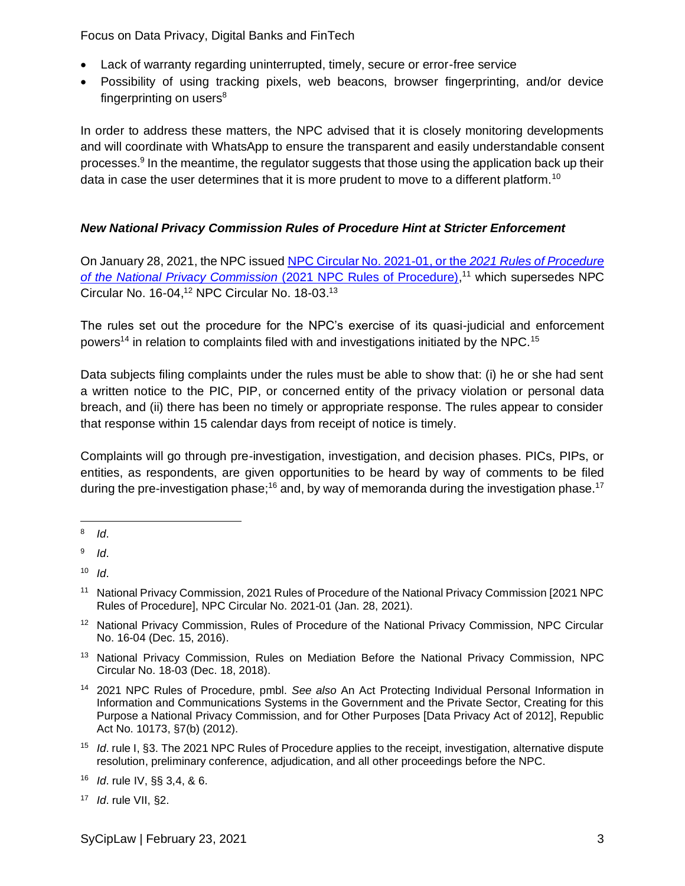- Lack of warranty regarding uninterrupted, timely, secure or error-free service
- Possibility of using tracking pixels, web beacons, browser fingerprinting, and/or device fingerprinting on users $8$

In order to address these matters, the NPC advised that it is closely monitoring developments and will coordinate with WhatsApp to ensure the transparent and easily understandable consent processes.<sup>9</sup> In the meantime, the regulator suggests that those using the application back up their data in case the user determines that it is more prudent to move to a different platform.<sup>10</sup>

## *New National Privacy Commission Rules of Procedure Hint at Stricter Enforcement*

On January 28, 2021, the NPC issued [NPC Circular No. 2021-01, or the](https://www.privacy.gov.ph/wp-content/uploads/2021/01/2021RULESOFPROCEDURE_VER8-Final-Sgd-1-1-1.pdf) *2021 Rules of Procedure*  [of the National Privacy Commission](https://www.privacy.gov.ph/wp-content/uploads/2021/01/2021RULESOFPROCEDURE_VER8-Final-Sgd-1-1-1.pdf) (2021 NPC Rules of Procedure),<sup>11</sup> which supersedes NPC Circular No. 16-04,<sup>12</sup> NPC Circular No. 18-03.<sup>13</sup>

The rules set out the procedure for the NPC's exercise of its quasi-judicial and enforcement powers<sup>14</sup> in relation to complaints filed with and investigations initiated by the NPC.<sup>15</sup>

Data subjects filing complaints under the rules must be able to show that: (i) he or she had sent a written notice to the PIC, PIP, or concerned entity of the privacy violation or personal data breach, and (ii) there has been no timely or appropriate response. The rules appear to consider that response within 15 calendar days from receipt of notice is timely.

Complaints will go through pre-investigation, investigation, and decision phases. PICs, PIPs, or entities, as respondents, are given opportunities to be heard by way of comments to be filed during the pre-investigation phase;<sup>16</sup> and, by way of memoranda during the investigation phase.<sup>17</sup>

- <sup>12</sup> National Privacy Commission, Rules of Procedure of the National Privacy Commission, NPC Circular No. 16-04 (Dec. 15, 2016).
- <sup>13</sup> National Privacy Commission, Rules on Mediation Before the National Privacy Commission, NPC Circular No. 18-03 (Dec. 18, 2018).
- <sup>14</sup> 2021 NPC Rules of Procedure, pmbl. *See also* An Act Protecting Individual Personal Information in Information and Communications Systems in the Government and the Private Sector, Creating for this Purpose a National Privacy Commission, and for Other Purposes [Data Privacy Act of 2012], Republic Act No. 10173, §7(b) (2012).
- <sup>15</sup> *Id*. rule I, §3. The 2021 NPC Rules of Procedure applies to the receipt, investigation, alternative dispute resolution, preliminary conference, adjudication, and all other proceedings before the NPC.

<sup>8</sup> *Id*.

<sup>9</sup> *Id*.

<sup>10</sup> *Id*.

<sup>11</sup> National Privacy Commission, 2021 Rules of Procedure of the National Privacy Commission [2021 NPC Rules of Procedure], NPC Circular No. 2021-01 (Jan. 28, 2021).

<sup>16</sup> *Id*. rule IV, §§ 3,4, & 6.

<sup>17</sup> *Id*. rule VII, §2.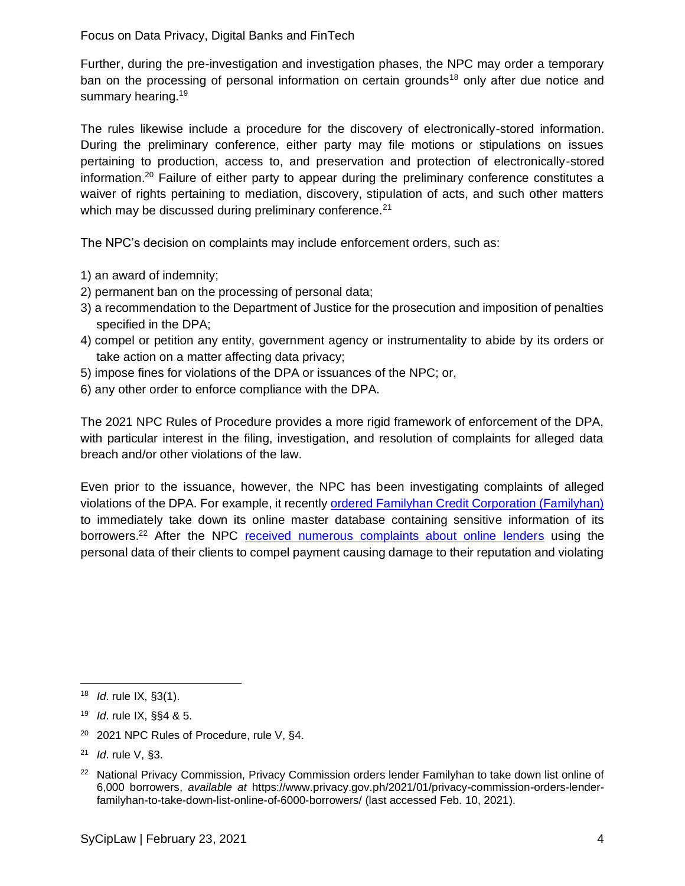Further, during the pre-investigation and investigation phases, the NPC may order a temporary ban on the processing of personal information on certain grounds<sup>18</sup> only after due notice and summary hearing.<sup>19</sup>

The rules likewise include a procedure for the discovery of electronically-stored information. During the preliminary conference, either party may file motions or stipulations on issues pertaining to production, access to, and preservation and protection of electronically-stored information.<sup>20</sup> Failure of either party to appear during the preliminary conference constitutes a waiver of rights pertaining to mediation, discovery, stipulation of acts, and such other matters which may be discussed during preliminary conference.<sup>21</sup>

The NPC's decision on complaints may include enforcement orders, such as:

- 1) an award of indemnity;
- 2) permanent ban on the processing of personal data;
- 3) a recommendation to the Department of Justice for the prosecution and imposition of penalties specified in the DPA;
- 4) compel or petition any entity, government agency or instrumentality to abide by its orders or take action on a matter affecting data privacy;
- 5) impose fines for violations of the DPA or issuances of the NPC; or,
- 6) any other order to enforce compliance with the DPA.

The 2021 NPC Rules of Procedure provides a more rigid framework of enforcement of the DPA, with particular interest in the filing, investigation, and resolution of complaints for alleged data breach and/or other violations of the law.

Even prior to the issuance, however, the NPC has been investigating complaints of alleged violations of the DPA. For example, it recently [ordered Familyhan Credit Corporation \(Familyhan\)](https://www.privacy.gov.ph/2021/01/privacy-commission-orders-lender-familyhan-to-take-down-list-online-of-6000-borrowers/) to immediately take down its online master database containing sensitive information of its borrowers.<sup>22</sup> After the NPC [received numerous complaints about online lenders](https://www.privacy.gov.ph/2020/10/online-lenders-barred-from-harvesting-borrowers-phone-and-social-media-contact-list-says-privacy-commission/) using the personal data of their clients to compel payment causing damage to their reputation and violating

<sup>20</sup> 2021 NPC Rules of Procedure, rule V, §4.

<sup>18</sup> *Id*. rule IX, §3(1).

<sup>19</sup> *Id*. rule IX, §§4 & 5.

<sup>21</sup> *Id*. rule V, §3.

<sup>&</sup>lt;sup>22</sup> National Privacy Commission, Privacy Commission orders lender Familyhan to take down list online of 6,000 borrowers, *available at* https://www.privacy.gov.ph/2021/01/privacy-commission-orders-lenderfamilyhan-to-take-down-list-online-of-6000-borrowers/ (last accessed Feb. 10, 2021).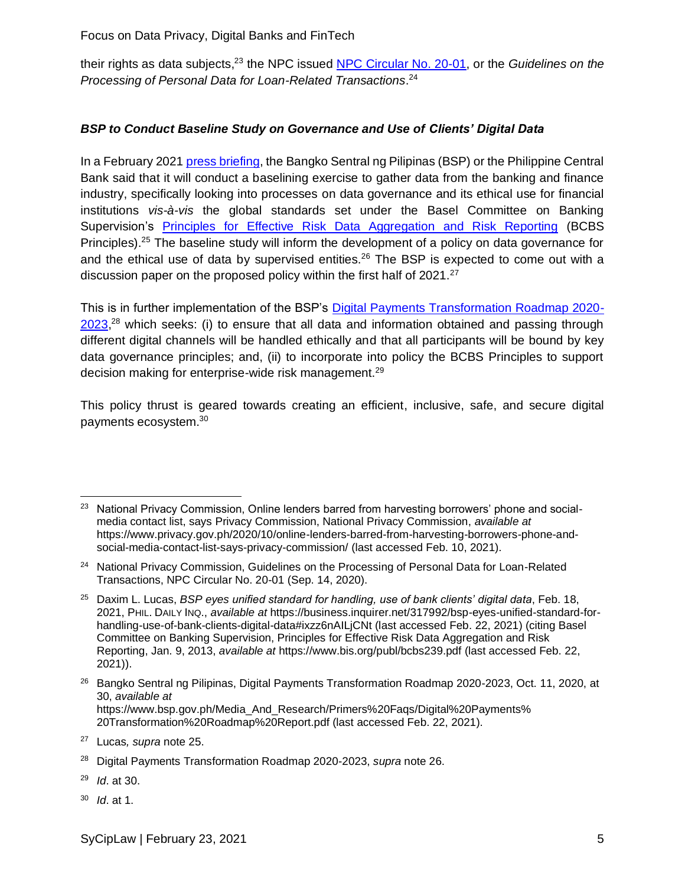their rights as data subjects,<sup>23</sup> the NPC issued <u>NPC Circular No. 20-01</u>, or the *Guidelines on the Processing of Personal Data for Loan-Related Transactions*. 24

### *BSP to Conduct Baseline Study on Governance and Use of Clients' Digital Data*

In a February 2021 [press briefing,](https://business.inquirer.net/317992/bsp-eyes-unified-standard-for-handling-use-of-bank-clients-digital-data#ixzz6nAH3FGjF) the Bangko Sentral ng Pilipinas (BSP) or the Philippine Central Bank said that it will conduct a baselining exercise to gather data from the banking and finance industry, specifically looking into processes on data governance and its ethical use for financial institutions *vis-à-vis* the global standards set under the Basel Committee on Banking Supervision's [Principles for Effective Risk Data Aggregation and Risk Reporting](https://www.bis.org/publ/bcbs239.pdf) (BCBS Principles).<sup>25</sup> The baseline study will inform the development of a policy on data governance for and the ethical use of data by supervised entities.<sup>26</sup> The BSP is expected to come out with a discussion paper on the proposed policy within the first half of 2021.<sup>27</sup>

<span id="page-4-1"></span><span id="page-4-0"></span>This is in further implementation of the BSP's [Digital Payments Transformation Roadmap 2020-](https://www.bsp.gov.ph/Media_And_Research/Primers%20Faqs/Digital%20Payments%20Transformation%20Roadmap%20Report.pdf) [2023,](https://www.bsp.gov.ph/Media_And_Research/Primers%20Faqs/Digital%20Payments%20Transformation%20Roadmap%20Report.pdf)<sup>28</sup> which seeks: (i) to ensure that all data and information obtained and passing through different digital channels will be handled ethically and that all participants will be bound by key data governance principles; and, (ii) to incorporate into policy the BCBS Principles to support decision making for enterprise-wide risk management.<sup>29</sup>

This policy thrust is geared towards creating an efficient, inclusive, safe, and secure digital payments ecosystem.<sup>30</sup>

<sup>30</sup> *Id*. at 1.

<sup>&</sup>lt;sup>23</sup> National Privacy Commission, Online lenders barred from harvesting borrowers' phone and socialmedia contact list, says Privacy Commission, National Privacy Commission, *available at* [https://www.privacy.gov.ph/2020/10/online-lenders-barred-from-harvesting-borrowers-phone-and](https://www.privacy.gov.ph/2020/10/online-lenders-barred-from-harvesting-borrowers-phone-and-social-media-contact-list-says-privacy-commission/)[social-media-contact-list-says-privacy-commission/](https://www.privacy.gov.ph/2020/10/online-lenders-barred-from-harvesting-borrowers-phone-and-social-media-contact-list-says-privacy-commission/) (last accessed Feb. 10, 2021).

<sup>&</sup>lt;sup>24</sup> National Privacy Commission, Guidelines on the Processing of Personal Data for Loan-Related Transactions, NPC Circular No. 20-01 (Sep. 14, 2020).

<sup>25</sup> Daxim L. Lucas, *BSP eyes unified standard for handling, use of bank clients' digital data*, Feb. 18, 2021, PHIL. DAILY INQ., *available at* https://business.inquirer.net/317992/bsp-eyes-unified-standard-forhandling-use-of-bank-clients-digital-data#ixzz6nAILjCNt (last accessed Feb. 22, 2021) (citing Basel Committee on Banking Supervision, Principles for Effective Risk Data Aggregation and Risk Reporting, Jan. 9, 2013, *available at* https://www.bis.org/publ/bcbs239.pdf (last accessed Feb. 22, 2021)).

<sup>&</sup>lt;sup>26</sup> Bangko Sentral ng Pilipinas, Digital Payments Transformation Roadmap 2020-2023, Oct. 11, 2020, at 30, *available at*  https://www.bsp.gov.ph/Media\_And\_Research/Primers%20Faqs/Digital%20Payments% 20Transformation%20Roadmap%20Report.pdf (last accessed Feb. 22, 2021).

<sup>27</sup> Lucas*, supra* note [25.](#page-4-0)

<sup>28</sup> Digital Payments Transformation Roadmap 2020-2023, *supra* note [26.](#page-4-1)

<sup>29</sup> *Id*. at 30.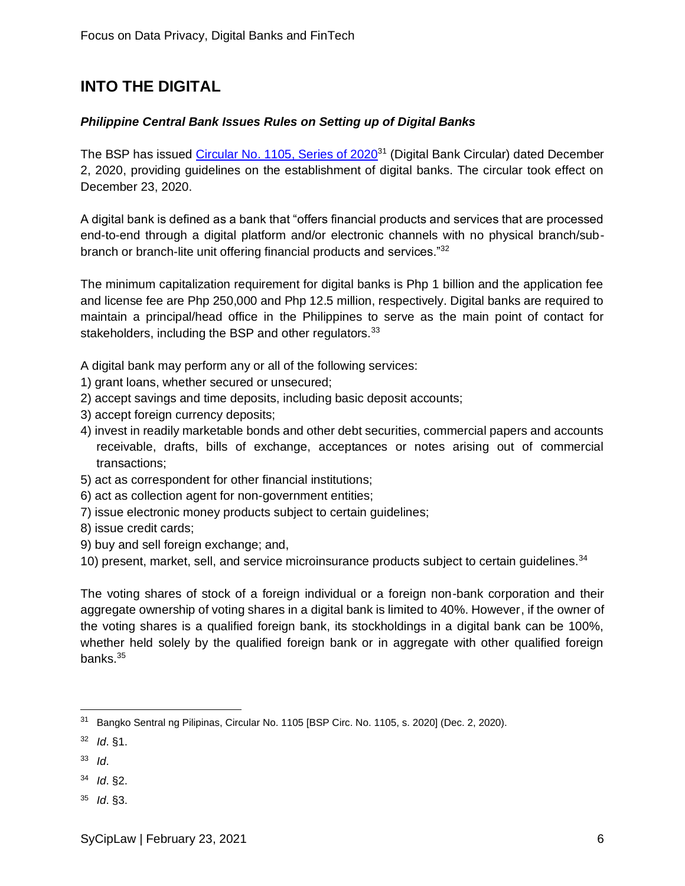# **INTO THE DIGITAL**

### *Philippine Central Bank Issues Rules on Setting up of Digital Banks*

The BSP has issued [Circular No. 1105, Series of 2020](https://www.bsp.gov.ph/Regulations/Issuances/2020/c1105.pdf)<sup>31</sup> (Digital Bank Circular) dated December 2, 2020, providing guidelines on the establishment of digital banks. The circular took effect on December 23, 2020.

A digital bank is defined as a bank that "offers financial products and services that are processed end-to-end through a digital platform and/or electronic channels with no physical branch/subbranch or branch-lite unit offering financial products and services."<sup>32</sup>

The minimum capitalization requirement for digital banks is Php 1 billion and the application fee and license fee are Php 250,000 and Php 12.5 million, respectively. Digital banks are required to maintain a principal/head office in the Philippines to serve as the main point of contact for stakeholders, including the BSP and other regulators.<sup>33</sup>

A digital bank may perform any or all of the following services:

- 1) grant loans, whether secured or unsecured;
- 2) accept savings and time deposits, including basic deposit accounts;
- 3) accept foreign currency deposits;
- 4) invest in readily marketable bonds and other debt securities, commercial papers and accounts receivable, drafts, bills of exchange, acceptances or notes arising out of commercial transactions;
- 5) act as correspondent for other financial institutions;
- 6) act as collection agent for non-government entities;
- 7) issue electronic money products subject to certain guidelines;
- 8) issue credit cards;
- 9) buy and sell foreign exchange; and,

10) present, market, sell, and service microinsurance products subject to certain quidelines.<sup>34</sup>

The voting shares of stock of a foreign individual or a foreign non-bank corporation and their aggregate ownership of voting shares in a digital bank is limited to 40%. However, if the owner of the voting shares is a qualified foreign bank, its stockholdings in a digital bank can be 100%, whether held solely by the qualified foreign bank or in aggregate with other qualified foreign banks.<sup>35</sup>

- <sup>32</sup> *Id*. §1.
- <sup>33</sup> *Id*.
- <sup>34</sup> *Id*. §2.
- <sup>35</sup> *Id*. §3.

<sup>&</sup>lt;sup>31</sup> Bangko Sentral ng Pilipinas, Circular No. 1105 [BSP Circ. No. 1105, s. 2020] (Dec. 2, 2020).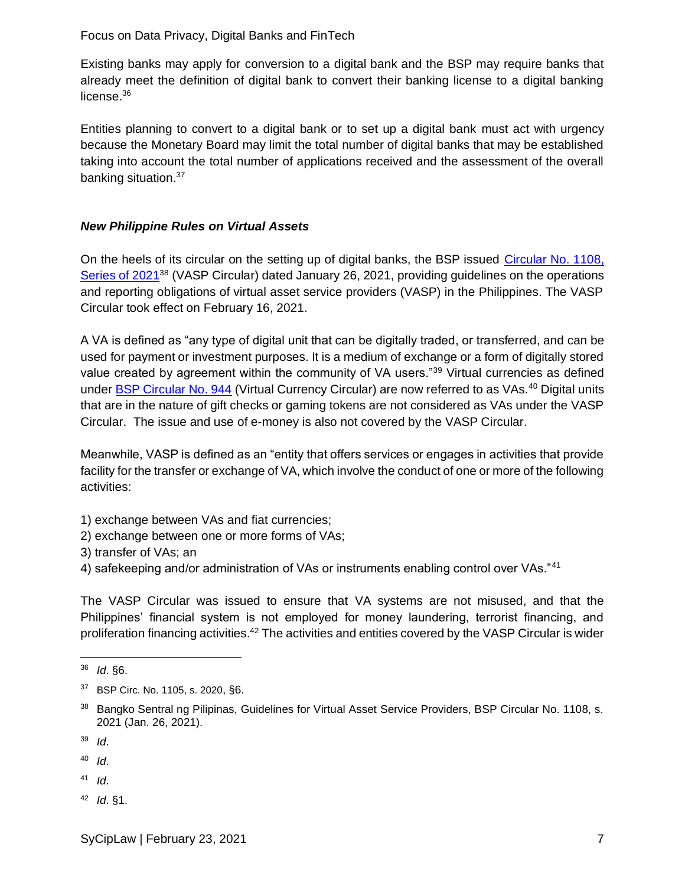Existing banks may apply for conversion to a digital bank and the BSP may require banks that already meet the definition of digital bank to convert their banking license to a digital banking license.<sup>36</sup>

Entities planning to convert to a digital bank or to set up a digital bank must act with urgency because the Monetary Board may limit the total number of digital banks that may be established taking into account the total number of applications received and the assessment of the overall banking situation.<sup>37</sup>

### *New Philippine Rules on Virtual Assets*

On the heels of its circular on the setting up of digital banks, the BSP issued [Circular No. 1108,](https://www.bsp.gov.ph/Regulations/Issuances/2021/1108.pdf)  [Series of 2021](https://www.bsp.gov.ph/Regulations/Issuances/2021/1108.pdf)<sup>38</sup> (VASP Circular) dated January 26, 2021, providing guidelines on the operations and reporting obligations of virtual asset service providers (VASP) in the Philippines. The VASP Circular took effect on February 16, 2021.

A VA is defined as "any type of digital unit that can be digitally traded, or transferred, and can be used for payment or investment purposes. It is a medium of exchange or a form of digitally stored value created by agreement within the community of VA users."<sup>39</sup> Virtual currencies as defined under [BSP Circular No. 944](https://www.bsp.gov.ph/Regulations/Issuances/2017/c944.pdf) (Virtual Currency Circular) are now referred to as VAs.<sup>40</sup> Digital units that are in the nature of gift checks or gaming tokens are not considered as VAs under the VASP Circular. The issue and use of e-money is also not covered by the VASP Circular.

Meanwhile, VASP is defined as an "entity that offers services or engages in activities that provide facility for the transfer or exchange of VA, which involve the conduct of one or more of the following activities:

- 1) exchange between VAs and fiat currencies;
- 2) exchange between one or more forms of VAs;
- 3) transfer of VAs; an
- 4) safekeeping and/or administration of VAs or instruments enabling control over VAs."41

The VASP Circular was issued to ensure that VA systems are not misused, and that the Philippines' financial system is not employed for money laundering, terrorist financing, and proliferation financing activities.<sup>42</sup> The activities and entities covered by the VASP Circular is wider

<sup>40</sup> *Id*.

- $41$  *Id.*
- <sup>42</sup> *Id*. §1.

<sup>36</sup> *Id*. §6.

<sup>37</sup> BSP Circ. No. 1105, s. 2020, §6.

<sup>38</sup> Bangko Sentral ng Pilipinas, Guidelines for Virtual Asset Service Providers, BSP Circular No. 1108, s. 2021 (Jan. 26, 2021).

<sup>39</sup> *Id*.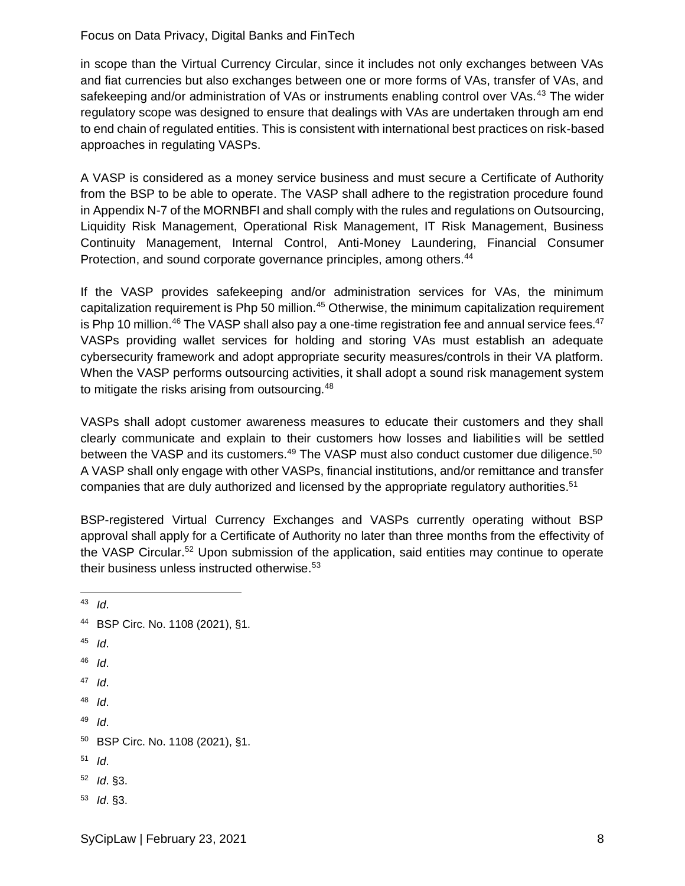in scope than the Virtual Currency Circular, since it includes not only exchanges between VAs and fiat currencies but also exchanges between one or more forms of VAs, transfer of VAs, and safekeeping and/or administration of VAs or instruments enabling control over VAs.<sup>43</sup> The wider regulatory scope was designed to ensure that dealings with VAs are undertaken through am end to end chain of regulated entities. This is consistent with international best practices on risk-based approaches in regulating VASPs.

A VASP is considered as a money service business and must secure a Certificate of Authority from the BSP to be able to operate. The VASP shall adhere to the registration procedure found in Appendix N-7 of the MORNBFI and shall comply with the rules and regulations on Outsourcing, Liquidity Risk Management, Operational Risk Management, IT Risk Management, Business Continuity Management, Internal Control, Anti-Money Laundering, Financial Consumer Protection, and sound corporate governance principles, among others.<sup>44</sup>

If the VASP provides safekeeping and/or administration services for VAs, the minimum capitalization requirement is Php 50 million.<sup>45</sup> Otherwise, the minimum capitalization requirement is Php 10 million.<sup>46</sup> The VASP shall also pay a one-time registration fee and annual service fees.<sup>47</sup> VASPs providing wallet services for holding and storing VAs must establish an adequate cybersecurity framework and adopt appropriate security measures/controls in their VA platform. When the VASP performs outsourcing activities, it shall adopt a sound risk management system to mitigate the risks arising from outsourcing.<sup>48</sup>

VASPs shall adopt customer awareness measures to educate their customers and they shall clearly communicate and explain to their customers how losses and liabilities will be settled between the VASP and its customers.<sup>49</sup> The VASP must also conduct customer due diligence.<sup>50</sup> A VASP shall only engage with other VASPs, financial institutions, and/or remittance and transfer companies that are duly authorized and licensed by the appropriate regulatory authorities. $51$ 

BSP-registered Virtual Currency Exchanges and VASPs currently operating without BSP approval shall apply for a Certificate of Authority no later than three months from the effectivity of the VASP Circular.<sup>52</sup> Upon submission of the application, said entities may continue to operate their business unless instructed otherwise.<sup>53</sup>

<sup>43</sup> *Id*.

- <sup>44</sup> BSP Circ. No. 1108 (2021), §1. <sup>45</sup> *Id*.
- <sup>46</sup> *Id*.
- 
- <sup>47</sup> *Id*.
- <sup>48</sup> *Id*.
- <sup>49</sup> *Id*.
- <sup>50</sup> BSP Circ. No. 1108 (2021), §1.
- <sup>51</sup> *Id*.
- <sup>52</sup> *Id*. §3.
- <sup>53</sup> *Id*. §3.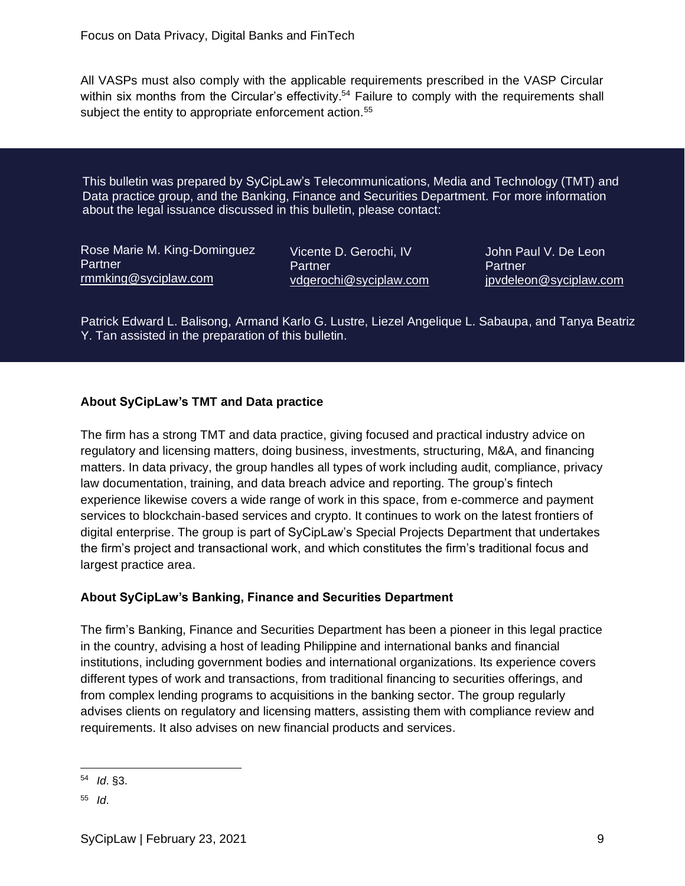All VASPs must also comply with the applicable requirements prescribed in the VASP Circular within six months from the Circular's effectivity.<sup>54</sup> Failure to comply with the requirements shall subject the entity to appropriate enforcement action.<sup>55</sup>

This bulletin was prepared by SyCipLaw's Telecommunications, Media and Technology (TMT) and Data practice group, and the Banking, Finance and Securities Department. For more information about the legal issuance discussed in this bulletin, please contact:

Rose Marie M. King-Dominguez **Partner** [rmmking@syciplaw.com](mailto:rmmking@syciplaw.com)

Vicente D. Gerochi, IV **Partner** [vdgerochi@syciplaw.com](mailto:vdgerochi@syciplaw.com) John Paul V. De Leon **Partner** [jpvdeleon@syciplaw.com](mailto:jpvdeleon@syciplaw.com)

Patrick Edward L. Balisong, Armand Karlo G. Lustre, Liezel Angelique L. Sabaupa, and Tanya Beatriz Y. Tan assisted in the preparation of this bulletin.

### **About SyCipLaw's TMT and Data practice**

The firm has a strong TMT and data practice, giving focused and practical industry advice on regulatory and licensing matters, doing business, investments, structuring, M&A, and financing matters. In data privacy, the group handles all types of work including audit, compliance, privacy law documentation, training, and data breach advice and reporting. The group's fintech experience likewise covers a wide range of work in this space, from e-commerce and payment services to blockchain-based services and crypto. It continues to work on the latest frontiers of digital enterprise. The group is part of SyCipLaw's Special Projects Department that undertakes the firm's project and transactional work, and which constitutes the firm's traditional focus and largest practice area.

#### **About SyCipLaw's Banking, Finance and Securities Department**

The firm's Banking, Finance and Securities Department has been a pioneer in this legal practice in the country, advising a host of leading Philippine and international banks and financial institutions, including government bodies and international organizations. Its experience covers different types of work and transactions, from traditional financing to securities offerings, and from complex lending programs to acquisitions in the banking sector. The group regularly advises clients on regulatory and licensing matters, assisting them with compliance review and requirements. It also advises on new financial products and services.

<sup>54</sup> *Id*. §3.

<sup>55</sup> *Id*.